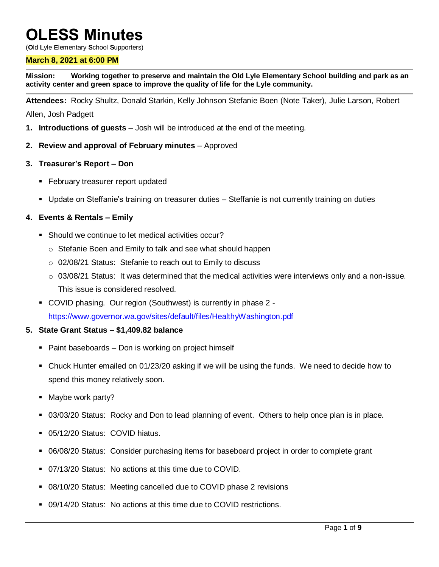# **OLESS Minutes**

(**O**ld **L**yle **E**lementary **S**chool **S**upporters)

#### **March 8, 2021 at 6:00 PM**

**Mission: Working together to preserve and maintain the Old Lyle Elementary School building and park as an activity center and green space to improve the quality of life for the Lyle community.**

**Attendees:** Rocky Shultz, Donald Starkin, Kelly Johnson Stefanie Boen (Note Taker), Julie Larson, Robert

Allen, Josh Padgett

- **1. Introductions of guests** Josh will be introduced at the end of the meeting.
- **2. Review and approval of February minutes** Approved
- **3. Treasurer's Report – Don** 
	- **February treasurer report updated**
	- Update on Steffanie's training on treasurer duties Steffanie is not currently training on duties

#### **4. Events & Rentals – Emily**

- Should we continue to let medical activities occur?
	- o Stefanie Boen and Emily to talk and see what should happen
	- o 02/08/21 Status: Stefanie to reach out to Emily to discuss
	- o 03/08/21 Status: It was determined that the medical activities were interviews only and a non-issue. This issue is considered resolved.
- COVID phasing. Our region (Southwest) is currently in phase 2 https://www.governor.wa.gov/sites/default/files/HealthyWashington.pdf

### **5. State Grant Status – \$1,409.82 balance**

- Paint baseboards Don is working on project himself
- Chuck Hunter emailed on 01/23/20 asking if we will be using the funds. We need to decide how to spend this money relatively soon.
- **Maybe work party?**
- 03/03/20 Status: Rocky and Don to lead planning of event. Others to help once plan is in place.
- 05/12/20 Status: COVID hiatus.
- 06/08/20 Status: Consider purchasing items for baseboard project in order to complete grant
- 07/13/20 Status: No actions at this time due to COVID.
- 08/10/20 Status: Meeting cancelled due to COVID phase 2 revisions
- 09/14/20 Status: No actions at this time due to COVID restrictions.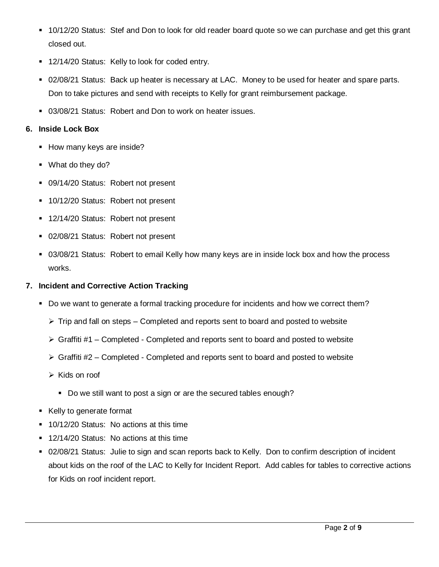- 10/12/20 Status: Stef and Don to look for old reader board quote so we can purchase and get this grant closed out.
- 12/14/20 Status: Kelly to look for coded entry.
- 02/08/21 Status: Back up heater is necessary at LAC. Money to be used for heater and spare parts. Don to take pictures and send with receipts to Kelly for grant reimbursement package.
- 03/08/21 Status: Robert and Don to work on heater issues.

# **6. Inside Lock Box**

- How many keys are inside?
- What do they do?
- **09/14/20 Status: Robert not present**
- **10/12/20 Status: Robert not present**
- **12/14/20 Status: Robert not present**
- **02/08/21 Status: Robert not present**
- 03/08/21 Status: Robert to email Kelly how many keys are in inside lock box and how the process works.

## **7. Incident and Corrective Action Tracking**

- Do we want to generate a formal tracking procedure for incidents and how we correct them?
	- $\triangleright$  Trip and fall on steps Completed and reports sent to board and posted to website
	- $\triangleright$  Graffiti #1 Completed Completed and reports sent to board and posted to website
	- $\triangleright$  Graffiti #2 Completed Completed and reports sent to board and posted to website
	- $\triangleright$  Kids on roof
		- Do we still want to post a sign or are the secured tables enough?
- Kelly to generate format
- **10/12/20 Status: No actions at this time**
- **12/14/20 Status: No actions at this time**
- 02/08/21 Status: Julie to sign and scan reports back to Kelly. Don to confirm description of incident about kids on the roof of the LAC to Kelly for Incident Report. Add cables for tables to corrective actions for Kids on roof incident report.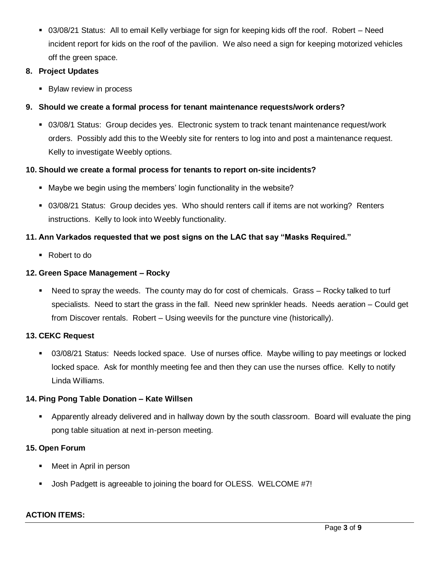03/08/21 Status: All to email Kelly verbiage for sign for keeping kids off the roof. Robert – Need incident report for kids on the roof of the pavilion. We also need a sign for keeping motorized vehicles off the green space.

## **8. Project Updates**

**Bylaw review in process** 

# **9. Should we create a formal process for tenant maintenance requests/work orders?**

 03/08/1 Status: Group decides yes. Electronic system to track tenant maintenance request/work orders. Possibly add this to the Weebly site for renters to log into and post a maintenance request. Kelly to investigate Weebly options.

# **10. Should we create a formal process for tenants to report on-site incidents?**

- Maybe we begin using the members' login functionality in the website?
- 03/08/21 Status: Group decides yes. Who should renters call if items are not working? Renters instructions. Kelly to look into Weebly functionality.

# **11. Ann Varkados requested that we post signs on the LAC that say "Masks Required."**

■ Robert to do

# **12. Green Space Management – Rocky**

 Need to spray the weeds. The county may do for cost of chemicals. Grass – Rocky talked to turf specialists. Need to start the grass in the fall. Need new sprinkler heads. Needs aeration – Could get from Discover rentals. Robert – Using weevils for the puncture vine (historically).

# **13. CEKC Request**

 03/08/21 Status: Needs locked space. Use of nurses office. Maybe willing to pay meetings or locked locked space. Ask for monthly meeting fee and then they can use the nurses office. Kelly to notify Linda Williams.

# **14. Ping Pong Table Donation – Kate Willsen**

 Apparently already delivered and in hallway down by the south classroom. Board will evaluate the ping pong table situation at next in-person meeting.

# **15. Open Forum**

- **Neet in April in person**
- Josh Padgett is agreeable to joining the board for OLESS. WELCOME #7!

### **ACTION ITEMS:**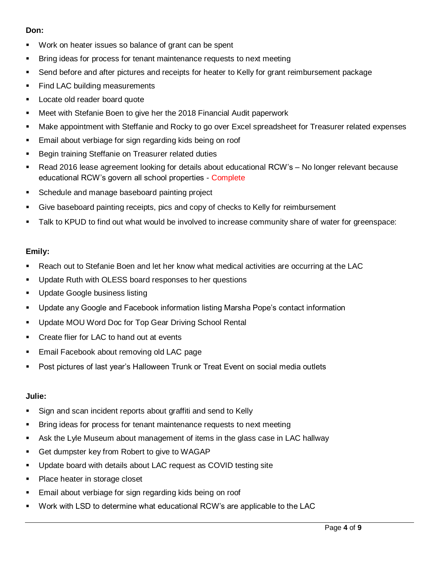# **Don:**

- Work on heater issues so balance of grant can be spent
- Bring ideas for process for tenant maintenance requests to next meeting
- Send before and after pictures and receipts for heater to Kelly for grant reimbursement package
- **Find LAC building measurements**
- **Locate old reader board quote**
- Meet with Stefanie Boen to give her the 2018 Financial Audit paperwork
- Make appointment with Steffanie and Rocky to go over Excel spreadsheet for Treasurer related expenses
- **Email about verbiage for sign regarding kids being on roof**
- **Begin training Steffanie on Treasurer related duties**
- Read 2016 lease agreement looking for details about educational RCW's No longer relevant because educational RCW's govern all school properties - Complete
- **Schedule and manage baseboard painting project**
- Give baseboard painting receipts, pics and copy of checks to Kelly for reimbursement
- Talk to KPUD to find out what would be involved to increase community share of water for greenspace:

### **Emily:**

- Reach out to Stefanie Boen and let her know what medical activities are occurring at the LAC
- Update Ruth with OLESS board responses to her questions
- Update Google business listing
- Update any Google and Facebook information listing Marsha Pope's contact information
- **Update MOU Word Doc for Top Gear Driving School Rental**
- **•** Create flier for LAC to hand out at events
- **Email Facebook about removing old LAC page**
- Post pictures of last year's Halloween Trunk or Treat Event on social media outlets

### **Julie:**

- Sign and scan incident reports about graffiti and send to Kelly
- **Bring ideas for process for tenant maintenance requests to next meeting**
- Ask the Lyle Museum about management of items in the glass case in LAC hallway
- Get dumpster key from Robert to give to WAGAP
- Update board with details about LAC request as COVID testing site
- Place heater in storage closet
- Email about verbiage for sign regarding kids being on roof
- Work with LSD to determine what educational RCW's are applicable to the LAC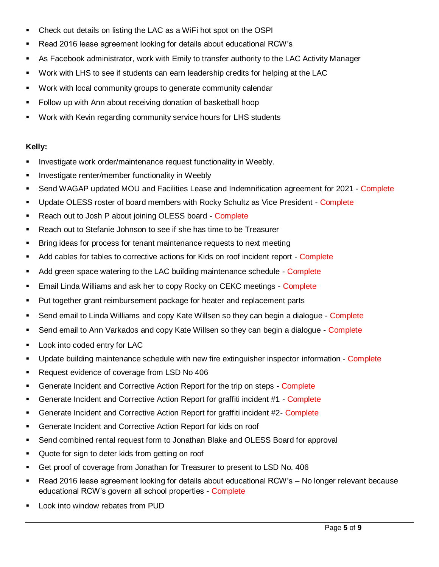- Check out details on listing the LAC as a WiFi hot spot on the OSPI
- Read 2016 lease agreement looking for details about educational RCW's
- As Facebook administrator, work with Emily to transfer authority to the LAC Activity Manager
- Work with LHS to see if students can earn leadership credits for helping at the LAC
- Work with local community groups to generate community calendar
- **Follow up with Ann about receiving donation of basketball hoop**
- Work with Kevin regarding community service hours for LHS students

# **Kelly:**

- **Investigate work order/maintenance request functionality in Weebly.**
- **Investigate renter/member functionality in Weebly**
- Send WAGAP updated MOU and Facilities Lease and Indemnification agreement for 2021 Complete
- Update OLESS roster of board members with Rocky Schultz as Vice President Complete
- Reach out to Josh P about joining OLESS board Complete
- Reach out to Stefanie Johnson to see if she has time to be Treasurer
- Bring ideas for process for tenant maintenance requests to next meeting
- Add cables for tables to corrective actions for Kids on roof incident report Complete
- Add green space watering to the LAC building maintenance schedule Complete
- **Email Linda Williams and ask her to copy Rocky on CEKC meetings Complete**
- Put together grant reimbursement package for heater and replacement parts
- Send email to Linda Williams and copy Kate Willsen so they can begin a dialogue Complete
- Send email to Ann Varkados and copy Kate Willsen so they can begin a dialogue Complete
- **Look into coded entry for LAC**
- **Update building maintenance schedule with new fire extinguisher inspector information Complete**
- Request evidence of coverage from LSD No 406
- **Generate Incident and Corrective Action Report for the trip on steps Complete**
- Generate Incident and Corrective Action Report for graffiti incident #1 Complete
- Generate Incident and Corrective Action Report for graffiti incident #2- Complete
- Generate Incident and Corrective Action Report for kids on roof
- Send combined rental request form to Jonathan Blake and OLESS Board for approval
- Quote for sign to deter kids from getting on roof
- Get proof of coverage from Jonathan for Treasurer to present to LSD No. 406
- Read 2016 lease agreement looking for details about educational RCW's No longer relevant because educational RCW's govern all school properties - Complete
- Look into window rebates from PUD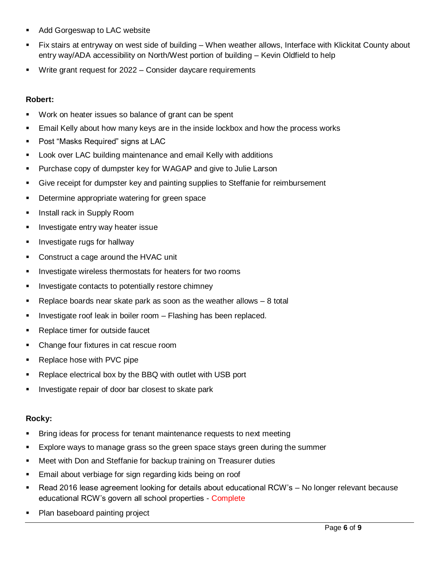- **Add Gorgeswap to LAC website**
- Fix stairs at entryway on west side of building When weather allows, Interface with Klickitat County about entry way/ADA accessibility on North/West portion of building – Kevin Oldfield to help
- Write grant request for 2022 Consider daycare requirements

## **Robert:**

- Work on heater issues so balance of grant can be spent
- Email Kelly about how many keys are in the inside lockbox and how the process works
- **Post "Masks Required" signs at LAC**
- Look over LAC building maintenance and email Kelly with additions
- **Purchase copy of dumpster key for WAGAP and give to Julie Larson**
- Give receipt for dumpster key and painting supplies to Steffanie for reimbursement
- **Determine appropriate watering for green space**
- **Install rack in Supply Room**
- **Investigate entry way heater issue**
- **Investigate rugs for hallway**
- Construct a cage around the HVAC unit
- **IF** Investigate wireless thermostats for heaters for two rooms
- **Investigate contacts to potentially restore chimney**
- Replace boards near skate park as soon as the weather allows 8 total
- Investigate roof leak in boiler room Flashing has been replaced.
- **Replace timer for outside faucet**
- Change four fixtures in cat rescue room
- Replace hose with PVC pipe
- Replace electrical box by the BBQ with outlet with USB port
- **Investigate repair of door bar closest to skate park**

### **Rocky:**

- Bring ideas for process for tenant maintenance requests to next meeting
- Explore ways to manage grass so the green space stays green during the summer
- **Neet with Don and Steffanie for backup training on Treasurer duties**
- Email about verbiage for sign regarding kids being on roof
- Read 2016 lease agreement looking for details about educational RCW's No longer relevant because educational RCW's govern all school properties - Complete
- Plan baseboard painting project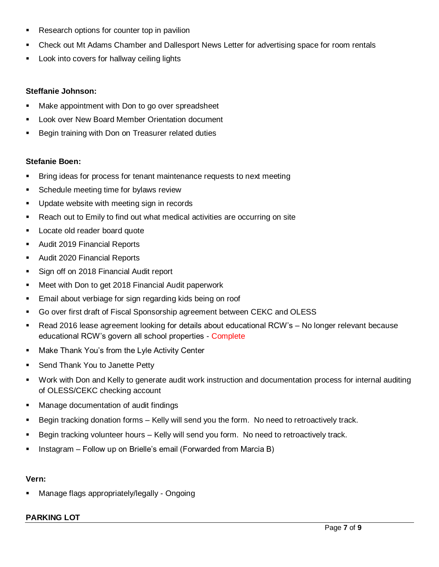- Research options for counter top in pavilion
- Check out Mt Adams Chamber and Dallesport News Letter for advertising space for room rentals
- Look into covers for hallway ceiling lights

### **Steffanie Johnson:**

- **Make appointment with Don to go over spreadsheet**
- **Look over New Board Member Orientation document**
- **Begin training with Don on Treasurer related duties**

### **Stefanie Boen:**

- Bring ideas for process for tenant maintenance requests to next meeting
- **Schedule meeting time for bylaws review**
- **Update website with meeting sign in records**
- Reach out to Emily to find out what medical activities are occurring on site
- **Locate old reader board quote**
- **Audit 2019 Financial Reports**
- Audit 2020 Financial Reports
- Sign off on 2018 Financial Audit report
- **Meet with Don to get 2018 Financial Audit paperwork**
- **Email about verbiage for sign regarding kids being on roof**
- Go over first draft of Fiscal Sponsorship agreement between CEKC and OLESS
- Read 2016 lease agreement looking for details about educational RCW's No longer relevant because educational RCW's govern all school properties - Complete
- **Make Thank You's from the Lyle Activity Center**
- **Send Thank You to Janette Petty**
- Work with Don and Kelly to generate audit work instruction and documentation process for internal auditing of OLESS/CEKC checking account
- **Manage documentation of audit findings**
- Begin tracking donation forms Kelly will send you the form. No need to retroactively track.
- Begin tracking volunteer hours Kelly will send you form. No need to retroactively track.
- **Instagram Follow up on Brielle's email (Forwarded from Marcia B)**

#### **Vern:**

Manage flags appropriately/legally - Ongoing

### **PARKING LOT**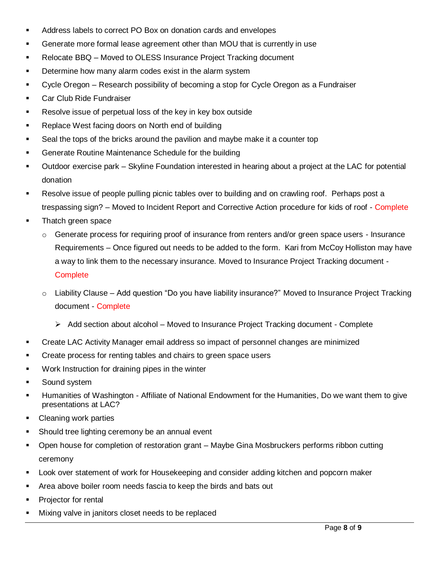- Address labels to correct PO Box on donation cards and envelopes
- Generate more formal lease agreement other than MOU that is currently in use
- Relocate BBQ Moved to OLESS Insurance Project Tracking document
- **Determine how many alarm codes exist in the alarm system**
- Cycle Oregon Research possibility of becoming a stop for Cycle Oregon as a Fundraiser
- **Car Club Ride Fundraiser**
- **Resolve issue of perpetual loss of the key in key box outside**
- **Replace West facing doors on North end of building**
- Seal the tops of the bricks around the pavilion and maybe make it a counter top
- **Generate Routine Maintenance Schedule for the building**
- Outdoor exercise park Skyline Foundation interested in hearing about a project at the LAC for potential donation
- Resolve issue of people pulling picnic tables over to building and on crawling roof. Perhaps post a trespassing sign? – Moved to Incident Report and Corrective Action procedure for kids of roof - Complete
- Thatch green space
	- $\circ$  Generate process for requiring proof of insurance from renters and/or green space users Insurance Requirements – Once figured out needs to be added to the form. Kari from McCoy Holliston may have a way to link them to the necessary insurance. Moved to Insurance Project Tracking document - **Complete**
	- $\circ$  Liability Clause Add question "Do you have liability insurance?" Moved to Insurance Project Tracking document - Complete
		- $\triangleright$  Add section about alcohol Moved to Insurance Project Tracking document Complete
- Create LAC Activity Manager email address so impact of personnel changes are minimized
- Create process for renting tables and chairs to green space users
- Work Instruction for draining pipes in the winter
- Sound system
- Humanities of Washington Affiliate of National Endowment for the Humanities, Do we want them to give presentations at LAC?
- Cleaning work parties
- **Should tree lighting ceremony be an annual event**
- Open house for completion of restoration grant Maybe Gina Mosbruckers performs ribbon cutting ceremony
- **EXED** Look over statement of work for Housekeeping and consider adding kitchen and popcorn maker
- Area above boiler room needs fascia to keep the birds and bats out
- **Projector for rental**
- Mixing valve in janitors closet needs to be replaced